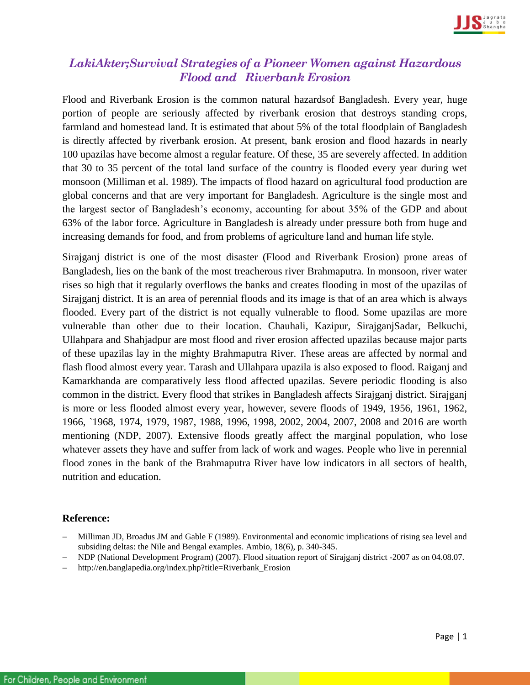

## *LakiAkter;Survival Strategies of a Pioneer Women against Hazardous Flood and Riverbank Erosion*

Flood and Riverbank Erosion is the common natural hazardsof Bangladesh. Every year, huge portion of people are seriously affected by riverbank erosion that destroys standing crops, farmland and homestead land. It is estimated that about 5% of the total floodplain of Bangladesh is directly affected by riverbank erosion. At present, bank erosion and flood hazards in nearly 100 upazilas have become almost a regular feature. Of these, 35 are severely affected. In addition that 30 to 35 percent of the total land surface of the country is flooded every year during wet monsoon (Milliman et al. 1989). The impacts of flood hazard on agricultural food production are global concerns and that are very important for Bangladesh. Agriculture is the single most and the largest sector of Bangladesh's economy, accounting for about 35% of the GDP and about 63% of the labor force. Agriculture in Bangladesh is already under pressure both from huge and increasing demands for food, and from problems of agriculture land and human life style.

Sirajganj district is one of the most disaster (Flood and Riverbank Erosion) prone areas of Bangladesh, lies on the bank of the most treacherous river Brahmaputra. In monsoon, river water rises so high that it regularly overflows the banks and creates flooding in most of the upazilas of Sirajganj district. It is an area of perennial floods and its image is that of an area which is always flooded. Every part of the district is not equally vulnerable to flood. Some upazilas are more vulnerable than other due to their location. Chauhali, Kazipur, SirajganjSadar, Belkuchi, Ullahpara and Shahjadpur are most flood and river erosion affected upazilas because major parts of these upazilas lay in the mighty Brahmaputra River. These areas are affected by normal and flash flood almost every year. Tarash and Ullahpara upazila is also exposed to flood. Raiganj and Kamarkhanda are comparatively less flood affected upazilas. Severe periodic flooding is also common in the district. Every flood that strikes in Bangladesh affects Sirajganj district. Sirajganj is more or less flooded almost every year, however, severe floods of 1949, 1956, 1961, 1962, 1966, `1968, 1974, 1979, 1987, 1988, 1996, 1998, 2002, 2004, 2007, 2008 and 2016 are worth mentioning (NDP, 2007). Extensive floods greatly affect the marginal population, who lose whatever assets they have and suffer from lack of work and wages. People who live in perennial flood zones in the bank of the Brahmaputra River have low indicators in all sectors of health, nutrition and education.

## **Reference:**

- Milliman JD, Broadus JM and Gable F (1989). Environmental and economic implications of rising sea level and subsiding deltas: the Nile and Bengal examples. Ambio, 18(6), p. 340-345.
- NDP (National Development Program) (2007). Flood situation report of Sirajganj district -2007 as on 04.08.07.
- http://en.banglapedia.org/index.php?title=Riverbank\_Erosion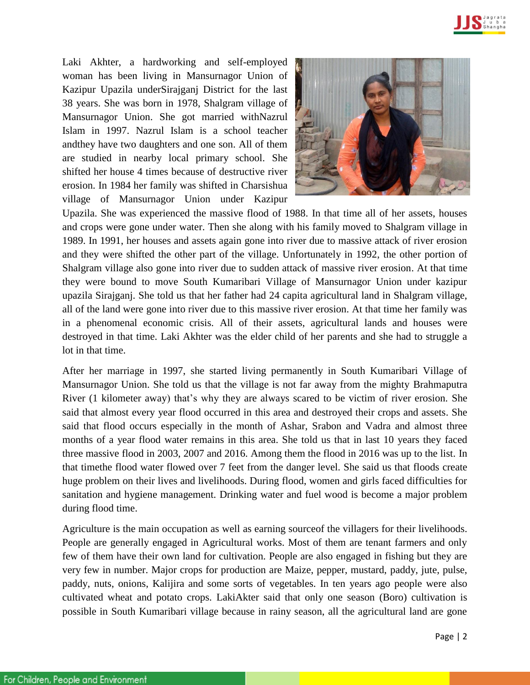

Laki Akhter, a hardworking and self-employed woman has been living in Mansurnagor Union of Kazipur Upazila underSirajganj District for the last 38 years. She was born in 1978, Shalgram village of Mansurnagor Union. She got married withNazrul Islam in 1997. Nazrul Islam is a school teacher andthey have two daughters and one son. All of them are studied in nearby local primary school. She shifted her house 4 times because of destructive river erosion. In 1984 her family was shifted in Charsishua village of Mansurnagor Union under Kazipur



Upazila. She was experienced the massive flood of 1988. In that time all of her assets, houses and crops were gone under water. Then she along with his family moved to Shalgram village in 1989. In 1991, her houses and assets again gone into river due to massive attack of river erosion and they were shifted the other part of the village. Unfortunately in 1992, the other portion of Shalgram village also gone into river due to sudden attack of massive river erosion. At that time they were bound to move South Kumaribari Village of Mansurnagor Union under kazipur upazila Sirajganj. She told us that her father had 24 capita agricultural land in Shalgram village, all of the land were gone into river due to this massive river erosion. At that time her family was in a phenomenal economic crisis. All of their assets, agricultural lands and houses were destroyed in that time. Laki Akhter was the elder child of her parents and she had to struggle a lot in that time.

After her marriage in 1997, she started living permanently in South Kumaribari Village of Mansurnagor Union. She told us that the village is not far away from the mighty Brahmaputra River (1 kilometer away) that's why they are always scared to be victim of river erosion. She said that almost every year flood occurred in this area and destroyed their crops and assets. She said that flood occurs especially in the month of Ashar, Srabon and Vadra and almost three months of a year flood water remains in this area. She told us that in last 10 years they faced three massive flood in 2003, 2007 and 2016. Among them the flood in 2016 was up to the list. In that timethe flood water flowed over 7 feet from the danger level. She said us that floods create huge problem on their lives and livelihoods. During flood, women and girls faced difficulties for sanitation and hygiene management. Drinking water and fuel wood is become a major problem during flood time.

Agriculture is the main occupation as well as earning sourceof the villagers for their livelihoods. People are generally engaged in Agricultural works. Most of them are tenant farmers and only few of them have their own land for cultivation. People are also engaged in fishing but they are very few in number. Major crops for production are Maize, pepper, mustard, paddy, jute, pulse, paddy, nuts, onions, Kalijira and some sorts of vegetables. In ten years ago people were also cultivated wheat and potato crops. LakiAkter said that only one season (Boro) cultivation is possible in South Kumaribari village because in rainy season, all the agricultural land are gone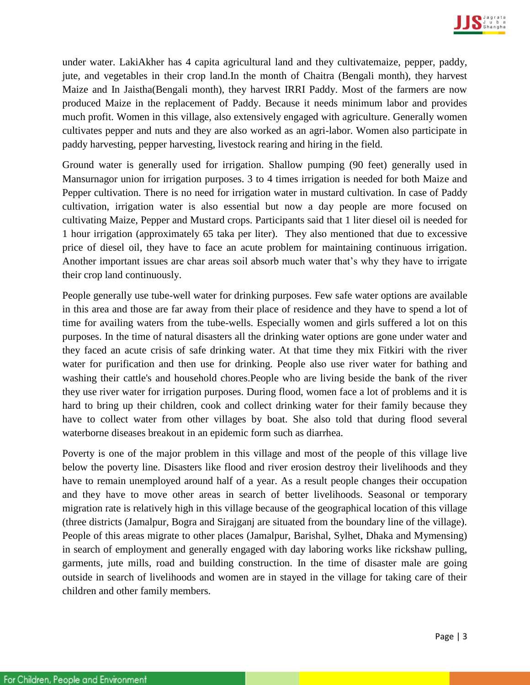

under water. LakiAkher has 4 capita agricultural land and they cultivatemaize, pepper, paddy, jute, and vegetables in their crop land.In the month of Chaitra (Bengali month), they harvest Maize and In Jaistha(Bengali month), they harvest IRRI Paddy. Most of the farmers are now produced Maize in the replacement of Paddy. Because it needs minimum labor and provides much profit. Women in this village, also extensively engaged with agriculture. Generally women cultivates pepper and nuts and they are also worked as an agri-labor. Women also participate in paddy harvesting, pepper harvesting, livestock rearing and hiring in the field.

Ground water is generally used for irrigation. Shallow pumping (90 feet) generally used in Mansurnagor union for irrigation purposes. 3 to 4 times irrigation is needed for both Maize and Pepper cultivation. There is no need for irrigation water in mustard cultivation. In case of Paddy cultivation, irrigation water is also essential but now a day people are more focused on cultivating Maize, Pepper and Mustard crops. Participants said that 1 liter diesel oil is needed for 1 hour irrigation (approximately 65 taka per liter). They also mentioned that due to excessive price of diesel oil, they have to face an acute problem for maintaining continuous irrigation. Another important issues are char areas soil absorb much water that's why they have to irrigate their crop land continuously.

People generally use tube-well water for drinking purposes. Few safe water options are available in this area and those are far away from their place of residence and they have to spend a lot of time for availing waters from the tube-wells. Especially women and girls suffered a lot on this purposes. In the time of natural disasters all the drinking water options are gone under water and they faced an acute crisis of safe drinking water. At that time they mix Fitkiri with the river water for purification and then use for drinking. People also use river water for bathing and washing their cattle's and household chores.People who are living beside the bank of the river they use river water for irrigation purposes. During flood, women face a lot of problems and it is hard to bring up their children, cook and collect drinking water for their family because they have to collect water from other villages by boat. She also told that during flood several waterborne diseases breakout in an epidemic form such as diarrhea.

Poverty is one of the major problem in this village and most of the people of this village live below the poverty line. Disasters like flood and river erosion destroy their livelihoods and they have to remain unemployed around half of a year. As a result people changes their occupation and they have to move other areas in search of better livelihoods. Seasonal or temporary migration rate is relatively high in this village because of the geographical location of this village (three districts (Jamalpur, Bogra and Sirajganj are situated from the boundary line of the village). People of this areas migrate to other places (Jamalpur, Barishal, Sylhet, Dhaka and Mymensing) in search of employment and generally engaged with day laboring works like rickshaw pulling, garments, jute mills, road and building construction. In the time of disaster male are going outside in search of livelihoods and women are in stayed in the village for taking care of their children and other family members.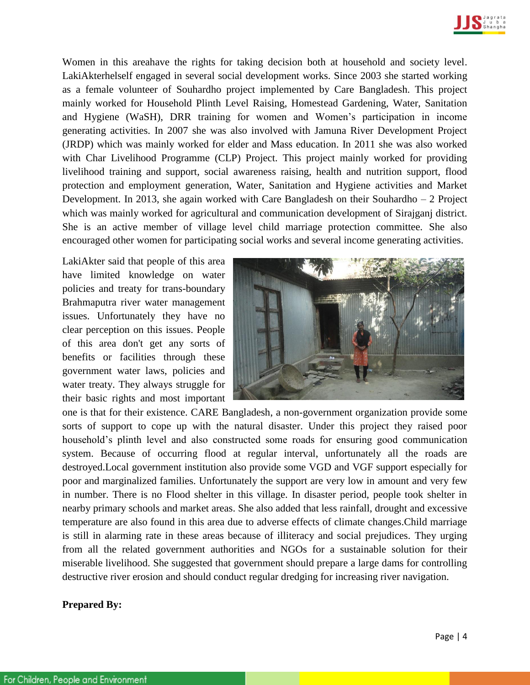

Women in this areahave the rights for taking decision both at household and society level. LakiAkterhelself engaged in several social development works. Since 2003 she started working as a female volunteer of Souhardho project implemented by Care Bangladesh. This project mainly worked for Household Plinth Level Raising, Homestead Gardening, Water, Sanitation and Hygiene (WaSH), DRR training for women and Women's participation in income generating activities. In 2007 she was also involved with Jamuna River Development Project (JRDP) which was mainly worked for elder and Mass education. In 2011 she was also worked with Char Livelihood Programme (CLP) Project. This project mainly worked for providing livelihood training and support, social awareness raising, health and nutrition support, flood protection and employment generation, Water, Sanitation and Hygiene activities and Market Development. In 2013, she again worked with Care Bangladesh on their Souhardho – 2 Project which was mainly worked for agricultural and communication development of Sirajganj district. She is an active member of village level child marriage protection committee. She also encouraged other women for participating social works and several income generating activities.

LakiAkter said that people of this area have limited knowledge on water policies and treaty for trans-boundary Brahmaputra river water management issues. Unfortunately they have no clear perception on this issues. People of this area don't get any sorts of benefits or facilities through these government water laws, policies and water treaty. They always struggle for their basic rights and most important



one is that for their existence. CARE Bangladesh, a non-government organization provide some sorts of support to cope up with the natural disaster. Under this project they raised poor household's plinth level and also constructed some roads for ensuring good communication system. Because of occurring flood at regular interval, unfortunately all the roads are destroyed.Local government institution also provide some VGD and VGF support especially for poor and marginalized families. Unfortunately the support are very low in amount and very few in number. There is no Flood shelter in this village. In disaster period, people took shelter in nearby primary schools and market areas. She also added that less rainfall, drought and excessive temperature are also found in this area due to adverse effects of climate changes.Child marriage is still in alarming rate in these areas because of illiteracy and social prejudices. They urging from all the related government authorities and NGOs for a sustainable solution for their miserable livelihood. She suggested that government should prepare a large dams for controlling destructive river erosion and should conduct regular dredging for increasing river navigation.

## **Prepared By:**